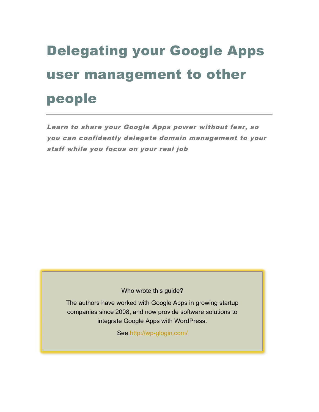# Delegating your Google Apps user management to other people

Learn to share your Google Apps power without fear, so you can confidently delegate domain management to your staff while you focus on your real job

Who wrote this guide?

The authors have worked with Google Apps in growing startup companies since 2008, and now provide software solutions to integrate Google Apps with WordPress.

See http://wp-glogin.com/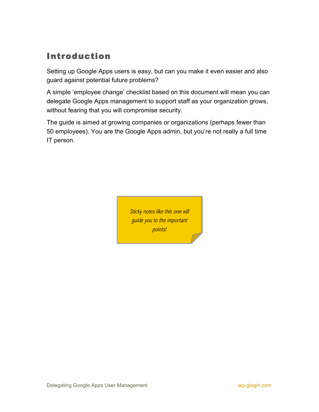## Introduction

Setting up Google Apps users is easy, but can you make it even easier and also guard against potential future problems?

A simple 'employee change' checklist based on this document will mean you can delegate Google Apps management to support staff as your organization grows, without fearing that you will compromise security.

The guide is aimed at growing companies or organizations (perhaps fewer than 50 employees). You are the Google Apps admin, but you're not really a full time IT person.

> Sticky notes like this one will guide you to the important points!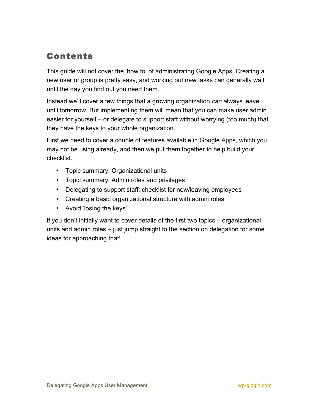## Contents

This guide will not cover the 'how to' of administrating Google Apps. Creating a new user or group is pretty easy, and working out new tasks can generally wait until the day you find out you need them.

Instead we'll cover a few things that a growing organization *can* always leave until tomorrow. But implementing them will mean that you can make user admin easier for yourself – or delegate to support staff without worrying (too much) that they have the keys to your whole organization.

First we need to cover a couple of features available in Google Apps, which you may not be using already, and then we put them together to help build your checklist.

- Topic summary: Organizational units
- Topic summary: Admin roles and privileges
- Delegating to support staff: checklist for new/leaving employees
- Creating a basic organizational structure with admin roles
- Avoid 'losing the keys'

If you don't initially want to cover details of the first two topics – organizational units and admin roles – just jump straight to the section on delegation for some ideas for approaching that!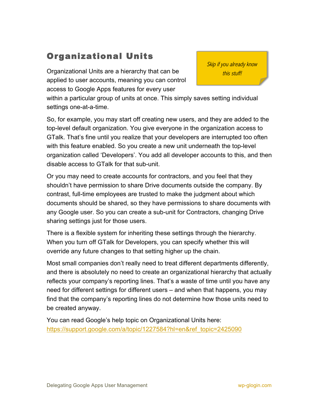## Organizational Units

Organizational Units are a hierarchy that can be applied to user accounts, meaning you can control access to Google Apps features for every user

Skip if you already know this stuff!

within a particular group of units at once. This simply saves setting individual settings one-at-a-time.

So, for example, you may start off creating new users, and they are added to the top-level default organization. You give everyone in the organization access to GTalk. That's fine until you realize that your developers are interrupted too often with this feature enabled. So you create a new unit underneath the top-level organization called 'Developers'. You add all developer accounts to this, and then disable access to GTalk for that sub-unit.

Or you may need to create accounts for contractors, and you feel that they shouldn't have permission to share Drive documents outside the company. By contrast, full-time employees are trusted to make the judgment about which documents should be shared, so they have permissions to share documents with any Google user. So you can create a sub-unit for Contractors, changing Drive sharing settings just for those users.

There is a flexible system for inheriting these settings through the hierarchy. When you turn off GTalk for Developers, you can specify whether this will override any future changes to that setting higher up the chain.

Most small companies don't really need to treat different departments differently, and there is absolutely no need to create an organizational hierarchy that actually reflects your company's reporting lines. That's a waste of time until you have any need for different settings for different users – and when that happens, you may find that the company's reporting lines do not determine how those units need to be created anyway.

You can read Google's help topic on Organizational Units here: https://support.google.com/a/topic/1227584?hl=en&ref\_topic=2425090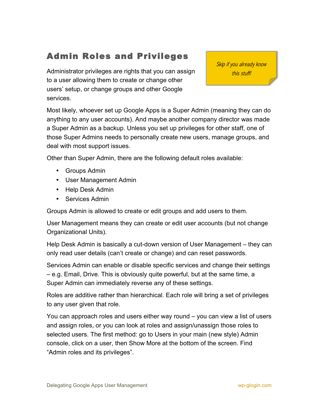## Admin Roles and Privileges

Administrator privileges are rights that you can assign to a user allowing them to create or change other users' setup, or change groups and other Google services.

Skip if you already know this stuff!

Most likely, whoever set up Google Apps is a Super Admin (meaning they can do anything to any user accounts). And maybe another company director was made a Super Admin as a backup. Unless you set up privileges for other staff, one of those Super Admins needs to personally create new users, manage groups, and deal with most support issues.

Other than Super Admin, there are the following default roles available:

- Groups Admin
- User Management Admin
- Help Desk Admin
- Services Admin

Groups Admin is allowed to create or edit groups and add users to them.

User Management means they can create or edit user accounts (but not change Organizational Units).

Help Desk Admin is basically a cut-down version of User Management – they can only read user details (can't create or change) and can reset passwords.

Services Admin can enable or disable specific services and change their settings – e.g. Email, Drive. This is obviously quite powerful, but at the same time, a Super Admin can immediately reverse any of these settings.

Roles are additive rather than hierarchical. Each role will bring a set of privileges to any user given that role.

You can approach roles and users either way round – you can view a list of users and assign roles, or you can look at roles and assign/unassign those roles to selected users. The first method: go to Users in your main (new style) Admin console, click on a user, then Show More at the bottom of the screen. Find "Admin roles and its privileges".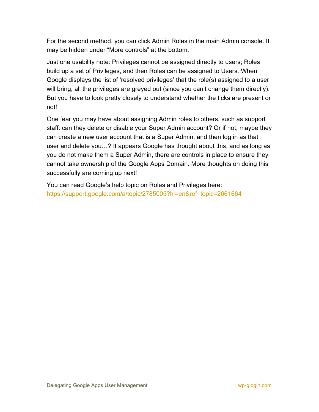For the second method, you can click Admin Roles in the main Admin console. It may be hidden under "More controls" at the bottom.

Just one usability note: Privileges cannot be assigned directly to users; Roles build up a set of Privileges, and then Roles can be assigned to Users. When Google displays the list of 'resolved privileges' that the role(s) assigned to a user will bring, all the privileges are greyed out (since you can't change them directly). But you have to look pretty closely to understand whether the ticks are present or not!

One fear you may have about assigning Admin roles to others, such as support staff: can they delete or disable your Super Admin account? Or if not, maybe they can create a new user account that is a Super Admin, and then log in as that user and delete you…? It appears Google has thought about this, and as long as you do not make them a Super Admin, there are controls in place to ensure they cannot take ownership of the Google Apps Domain. More thoughts on doing this successfully are coming up next!

You can read Google's help topic on Roles and Privileges here: https://support.google.com/a/topic/2785005?hl=en&ref\_topic=2661664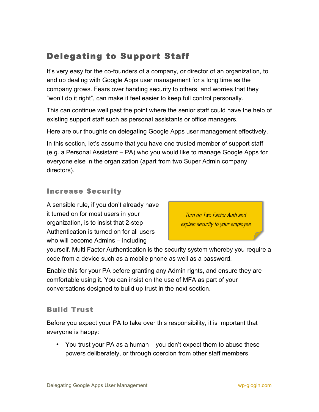## Delegating to Support Staff

It's very easy for the co-founders of a company, or director of an organization, to end up dealing with Google Apps user management for a long time as the company grows. Fears over handing security to others, and worries that they "won't do it right", can make it feel easier to keep full control personally.

This can continue well past the point where the senior staff could have the help of existing support staff such as personal assistants or office managers.

Here are our thoughts on delegating Google Apps user management effectively.

In this section, let's assume that you have one trusted member of support staff (e.g. a Personal Assistant – PA) who you would like to manage Google Apps for everyone else in the organization (apart from two Super Admin company directors).

#### Increase Security

A sensible rule, if you don't already have it turned on for most users in your organization, is to insist that 2-step Authentication is turned on for all users who will become Admins – including

Turn on Two Factor Auth and explain security to your employee

yourself. Multi Factor Authentication is the security system whereby you require a code from a device such as a mobile phone as well as a password.

Enable this for your PA before granting any Admin rights, and ensure they are comfortable using it. You can insist on the use of MFA as part of your conversations designed to build up trust in the next section.

#### Build Trust

Before you expect your PA to take over this responsibility, it is important that everyone is happy:

• You trust your PA as a human – you don't expect them to abuse these powers deliberately, or through coercion from other staff members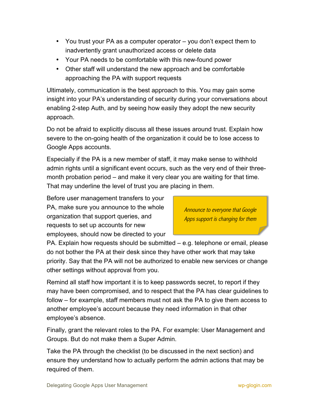- You trust your PA as a computer operator you don't expect them to inadvertently grant unauthorized access or delete data
- Your PA needs to be comfortable with this new-found power
- Other staff will understand the new approach and be comfortable approaching the PA with support requests

Ultimately, communication is the best approach to this. You may gain some insight into your PA's understanding of security during your conversations about enabling 2-step Auth, and by seeing how easily they adopt the new security approach.

Do not be afraid to explicitly discuss all these issues around trust. Explain how severe to the on-going health of the organization it could be to lose access to Google Apps accounts.

Especially if the PA is a new member of staff, it may make sense to withhold admin rights until a significant event occurs, such as the very end of their threemonth probation period – and make it very clear you are waiting for that time. That may underline the level of trust you are placing in them.

Before user management transfers to your PA, make sure you announce to the whole organization that support queries, and requests to set up accounts for new employees, should now be directed to your

Announce to everyone that Google Apps support is changing for them

PA. Explain how requests should be submitted – e.g. telephone or email, please do not bother the PA at their desk since they have other work that may take priority. Say that the PA will not be authorized to enable new services or change other settings without approval from you.

Remind all staff how important it is to keep passwords secret, to report if they may have been compromised, and to respect that the PA has clear guidelines to follow – for example, staff members must not ask the PA to give them access to another employee's account because they need information in that other employee's absence.

Finally, grant the relevant roles to the PA. For example: User Management and Groups. But do not make them a Super Admin.

Take the PA through the checklist (to be discussed in the next section) and ensure they understand how to actually perform the admin actions that may be required of them.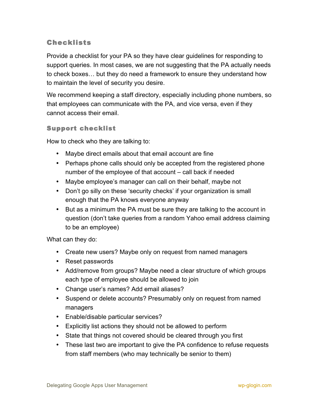#### Checklists

Provide a checklist for your PA so they have clear guidelines for responding to support queries. In most cases, we are not suggesting that the PA actually needs to check boxes… but they do need a framework to ensure they understand how to maintain the level of security you desire.

We recommend keeping a staff directory, especially including phone numbers, so that employees can communicate with the PA, and vice versa, even if they cannot access their email.

#### Support checklist

How to check who they are talking to:

- Maybe direct emails about that email account are fine
- Perhaps phone calls should only be accepted from the registered phone number of the employee of that account – call back if needed
- Maybe employee's manager can call on their behalf, maybe not
- Don't go silly on these 'security checks' if your organization is small enough that the PA knows everyone anyway
- But as a minimum the PA must be sure they are talking to the account in question (don't take queries from a random Yahoo email address claiming to be an employee)

What can they do:

- Create new users? Maybe only on request from named managers
- Reset passwords
- Add/remove from groups? Maybe need a clear structure of which groups each type of employee should be allowed to join
- Change user's names? Add email aliases?
- Suspend or delete accounts? Presumably only on request from named managers
- Enable/disable particular services?
- Explicitly list actions they should not be allowed to perform
- State that things not covered should be cleared through you first
- These last two are important to give the PA confidence to refuse requests from staff members (who may technically be senior to them)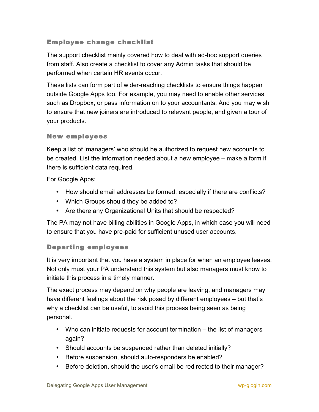#### Employee change checklist

The support checklist mainly covered how to deal with ad-hoc support queries from staff. Also create a checklist to cover any Admin tasks that should be performed when certain HR events occur.

These lists can form part of wider-reaching checklists to ensure things happen outside Google Apps too. For example, you may need to enable other services such as Dropbox, or pass information on to your accountants. And you may wish to ensure that new joiners are introduced to relevant people, and given a tour of your products.

#### New employees

Keep a list of 'managers' who should be authorized to request new accounts to be created. List the information needed about a new employee – make a form if there is sufficient data required.

For Google Apps:

- How should email addresses be formed, especially if there are conflicts?
- Which Groups should they be added to?
- Are there any Organizational Units that should be respected?

The PA may not have billing abilities in Google Apps, in which case you will need to ensure that you have pre-paid for sufficient unused user accounts.

#### Departing employees

It is very important that you have a system in place for when an employee leaves. Not only must your PA understand this system but also managers must know to initiate this process in a timely manner.

The exact process may depend on why people are leaving, and managers may have different feelings about the risk posed by different employees – but that's why a checklist can be useful, to avoid this process being seen as being personal.

- Who can initiate requests for account termination the list of managers again?
- Should accounts be suspended rather than deleted initially?
- Before suspension, should auto-responders be enabled?
- Before deletion, should the user's email be redirected to their manager?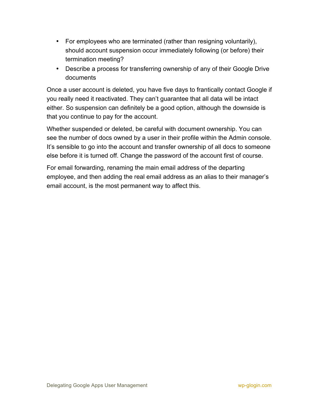- For employees who are terminated (rather than resigning voluntarily), should account suspension occur immediately following (or before) their termination meeting?
- Describe a process for transferring ownership of any of their Google Drive documents

Once a user account is deleted, you have five days to frantically contact Google if you really need it reactivated. They can't guarantee that all data will be intact either. So suspension can definitely be a good option, although the downside is that you continue to pay for the account.

Whether suspended or deleted, be careful with document ownership. You can see the number of docs owned by a user in their profile within the Admin console. It's sensible to go into the account and transfer ownership of all docs to someone else before it is turned off. Change the password of the account first of course.

For email forwarding, renaming the main email address of the departing employee, and then adding the real email address as an alias to their manager's email account, is the most permanent way to affect this.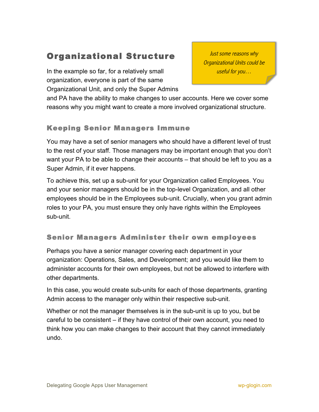## Organizational Structure

In the example so far, for a relatively small organization, everyone is part of the same Organizational Unit, and only the Super Admins

Just some reasons why Organizational Units could be useful for you…

and PA have the ability to make changes to user accounts. Here we cover some reasons why you might want to create a more involved organizational structure.

#### Keeping Senior Managers Immune

You may have a set of senior managers who should have a different level of trust to the rest of your staff. Those managers may be important enough that you don't want your PA to be able to change their accounts – that should be left to you as a Super Admin, if it ever happens.

To achieve this, set up a sub-unit for your Organization called Employees. You and your senior managers should be in the top-level Organization, and all other employees should be in the Employees sub-unit. Crucially, when you grant admin roles to your PA, you must ensure they only have rights within the Employees sub-unit.

#### Senior Managers Administer their own employees

Perhaps you have a senior manager covering each department in your organization: Operations, Sales, and Development; and you would like them to administer accounts for their own employees, but not be allowed to interfere with other departments.

In this case, you would create sub-units for each of those departments, granting Admin access to the manager only within their respective sub-unit.

Whether or not the manager themselves is in the sub-unit is up to you, but be careful to be consistent – if they have control of their own account, you need to think how you can make changes to their account that they cannot immediately undo.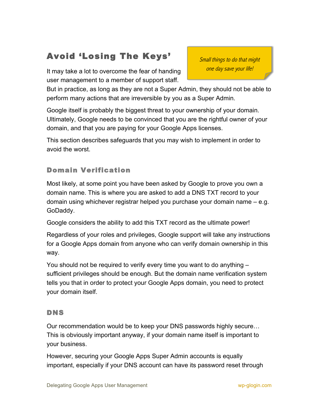## Avoid 'Losing The Keys'

It may take a lot to overcome the fear of handing user management to a member of support staff.

Small things to do that might one day save your life!

But in practice, as long as they are not a Super Admin, they should not be able to perform many actions that are irreversible by you as a Super Admin.

Google itself is probably the biggest threat to your ownership of your domain. Ultimately, Google needs to be convinced that you are the rightful owner of your domain, and that you are paying for your Google Apps licenses.

This section describes safeguards that you may wish to implement in order to avoid the worst.

#### Domain Verification

Most likely, at some point you have been asked by Google to prove you own a domain name. This is where you are asked to add a DNS TXT record to your domain using whichever registrar helped you purchase your domain name – e.g. GoDaddy.

Google considers the ability to add this TXT record as the ultimate power!

Regardless of your roles and privileges, Google support will take any instructions for a Google Apps domain from anyone who can verify domain ownership in this way.

You should not be required to verify every time you want to do anything – sufficient privileges should be enough. But the domain name verification system tells you that in order to protect your Google Apps domain, you need to protect your domain itself.

#### DNS

Our recommendation would be to keep your DNS passwords highly secure… This is obviously important anyway, if your domain name itself is important to your business.

However, securing your Google Apps Super Admin accounts is equally important, especially if your DNS account can have its password reset through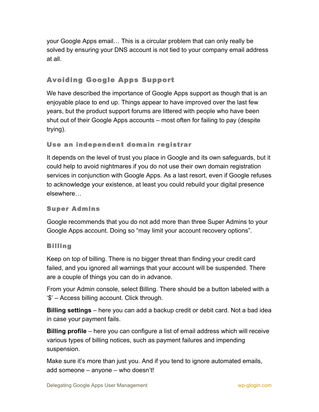your Google Apps email… This is a circular problem that can only really be solved by ensuring your DNS account is not tied to your company email address at all.

### Avoiding Google Apps Support

We have described the importance of Google Apps support as though that is an enjoyable place to end up. Things appear to have improved over the last few years, but the product support forums are littered with people who have been shut out of their Google Apps accounts – most often for failing to pay (despite trying).

#### Use an independent domain registrar

It depends on the level of trust you place in Google and its own safeguards, but it could help to avoid nightmares if you do not use their own domain registration services in conjunction with Google Apps. As a last resort, even if Google refuses to acknowledge your existence, at least you could rebuild your digital presence elsewhere…

#### Super Admins

Google recommends that you do not add more than three Super Admins to your Google Apps account. Doing so "may limit your account recovery options".

#### Billing

Keep on top of billing. There is no bigger threat than finding your credit card failed, and you ignored all warnings that your account will be suspended. There are a couple of things you can do in advance.

From your Admin console, select Billing. There should be a button labeled with a '\$' – Access billing account. Click through.

**Billing settings** – here you can add a backup credit or debit card. Not a bad idea in case your payment fails.

**Billing profile** – here you can configure a list of email address which will receive various types of billing notices, such as payment failures and impending suspension.

Make sure it's more than just you. And if you tend to ignore automated emails, add someone – anyone – who doesn't!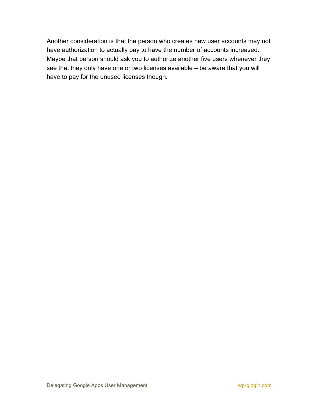Another consideration is that the person who creates new user accounts may not have authorization to actually pay to have the number of accounts increased. Maybe that person should ask you to authorize another five users whenever they see that they only have one or two licenses available – be aware that you will have to pay for the unused licenses though.